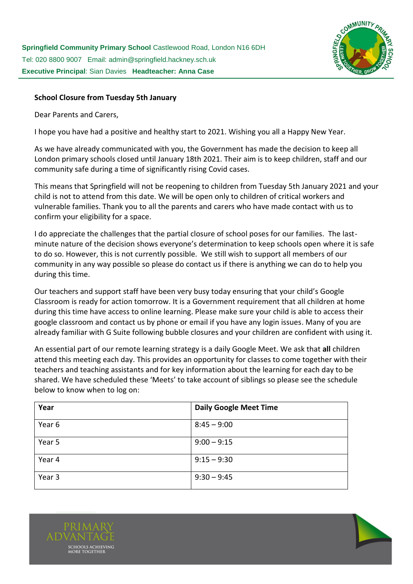

## **School Closure from Tuesday 5th January**

Dear Parents and Carers,

I hope you have had a positive and healthy start to 2021. Wishing you all a Happy New Year.

As we have already communicated with you, the Government has made the decision to keep all London primary schools closed until January 18th 2021. Their aim is to keep children, staff and our community safe during a time of significantly rising Covid cases.

This means that Springfield will not be reopening to children from Tuesday 5th January 2021 and your child is not to attend from this date. We will be open only to children of critical workers and vulnerable families. Thank you to all the parents and carers who have made contact with us to confirm your eligibility for a space.

I do appreciate the challenges that the partial closure of school poses for our families. The lastminute nature of the decision shows everyone's determination to keep schools open where it is safe to do so. However, this is not currently possible. We still wish to support all members of our community in any way possible so please do contact us if there is anything we can do to help you during this time.

Our teachers and support staff have been very busy today ensuring that your child's Google Classroom is ready for action tomorrow. It is a Government requirement that all children at home during this time have access to online learning. Please make sure your child is able to access their google classroom and contact us by phone or email if you have any login issues. Many of you are already familiar with G Suite following bubble closures and your children are confident with using it.

An essential part of our remote learning strategy is a daily Google Meet. We ask that **all** children attend this meeting each day. This provides an opportunity for classes to come together with their teachers and teaching assistants and for key information about the learning for each day to be shared. We have scheduled these 'Meets' to take account of siblings so please see the schedule below to know when to log on:

| Year   | <b>Daily Google Meet Time</b> |
|--------|-------------------------------|
| Year 6 | $8:45 - 9:00$                 |
| Year 5 | $9:00 - 9:15$                 |
| Year 4 | $9:15 - 9:30$                 |
| Year 3 | $9:30 - 9:45$                 |